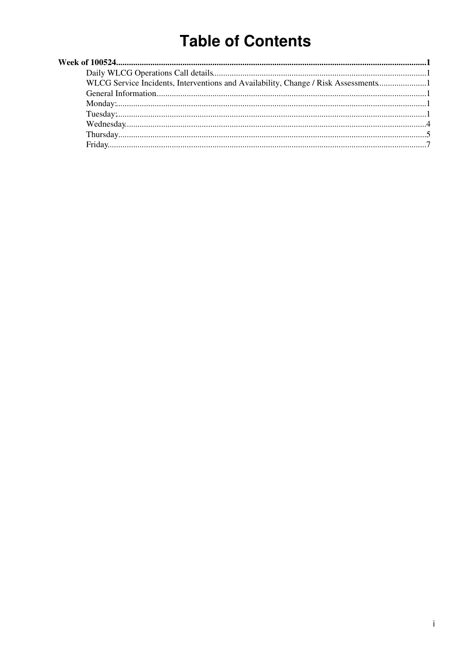# **Table of Contents**

| WLCG Service Incidents, Interventions and Availability, Change / Risk Assessments |  |
|-----------------------------------------------------------------------------------|--|
|                                                                                   |  |
|                                                                                   |  |
|                                                                                   |  |
|                                                                                   |  |
|                                                                                   |  |
|                                                                                   |  |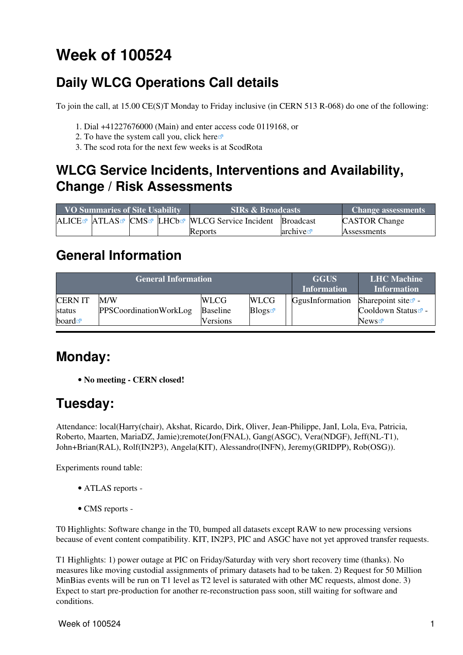# <span id="page-1-0"></span>**Week of 100524**

## <span id="page-1-1"></span>**Daily WLCG Operations Call details**

To join the call, at 15.00 CE(S)T Monday to Friday inclusive (in CERN 513 R-068) do one of the following:

- 1. Dial +41227676000 (Main) and enter access code 0119168, or
- 2. To have the system call you, click [here](https://audioconf.cern.ch/call/0119168) $\Phi$
- 3. The scod rota for the next few weeks is at [ScodRota](https://twiki.cern.ch/twiki/bin/view/LCG/ScodRota)

### <span id="page-1-2"></span>**WLCG Service Incidents, Interventions and Availability, Change / Risk Assessments**

| <b>VO Summaries of Site Usability</b> |  |  |  | <b>SIRs &amp; Broadcasts</b>                                                                             | <b>Change assessments</b> |                      |
|---------------------------------------|--|--|--|----------------------------------------------------------------------------------------------------------|---------------------------|----------------------|
|                                       |  |  |  | ALICE <sup>®</sup> ATLAS <sup>®</sup> CMS <sup>®</sup> LHCb <sup>®</sup> WLCG Service Incident Broadcast |                           | <b>CASTOR Change</b> |
|                                       |  |  |  | <b>Reports</b>                                                                                           | archive                   | <b>Assessments</b>   |

### <span id="page-1-3"></span>**General Information**

|                          | <b>General Information</b>           | <b>GGUS</b><br><b>Information</b> | <b>LHC</b> Machine<br><b>Information</b> |                 |                                                   |
|--------------------------|--------------------------------------|-----------------------------------|------------------------------------------|-----------------|---------------------------------------------------|
| <b>CERN IT</b><br>status | M/W<br><b>PPSCoordinationWorkLog</b> | <b>WLCG</b><br><b>Baseline</b>    | <b>WLCG</b><br>Blogs                     | GgusInformation | Sharepoint site $\mathbb{Z}$ -<br>Cooldown Status |
| board $\blacksquare$     |                                      | <b>Versions</b>                   |                                          |                 | News $\sigma$                                     |

### <span id="page-1-4"></span>**Monday:**

• **No meeting - CERN closed!**

### <span id="page-1-5"></span>**Tuesday:**

Attendance: local(Harry(chair), Akshat, Ricardo, Dirk, Oliver, Jean-Philippe, [JanI](https://twiki.cern.ch/twiki/bin/edit/LCG/JanI?topicparent=LCG.WLCGDailyMeetingsWeek100524;nowysiwyg=1), Lola, Eva, Patricia, Roberto, Maarten, [MariaDZ](https://twiki.cern.ch/twiki/bin/edit/LCG/MariaDZ?topicparent=LCG.WLCGDailyMeetingsWeek100524;nowysiwyg=1), Jamie);remote(Jon(FNAL), Gang(ASGC), Vera(NDGF), Jeff(NL-T1), John+Brian[\(RAL](https://twiki.cern.ch/twiki/bin/view/LCG/RAL)), Rolf([IN2P3](https://twiki.cern.ch/twiki/bin/view/LCG/IN2P3)), Angela(KIT), Alessandro(INFN), Jeremy(GRIDPP), Rob(OSG)).

Experiments round table:

- ATLAS [reports](https://twiki.cern.ch/twiki/bin/view/Atlas/ADCOperationsDailyReports) -
- CMS [reports](https://twiki.cern.ch/twiki/bin/view/CMS/FacOps_WLCGdailyreports) -

T0 Highlights: Software change in the T0, bumped all datasets except RAW to new processing versions because of event content compatibility. KIT, [IN2P3,](https://twiki.cern.ch/twiki/bin/view/LCG/IN2P3) PIC and ASGC have not yet approved transfer requests.

T1 Highlights: 1) power outage at PIC on Friday/Saturday with very short recovery time (thanks). No measures like moving custodial assignments of primary datasets had to be taken. 2) Request for 50 Million [MinBias](https://twiki.cern.ch/twiki/bin/edit/LCG/MinBias?topicparent=LCG.WLCGDailyMeetingsWeek100524;nowysiwyg=1) events will be run on T1 level as T2 level is saturated with other MC requests, almost done. 3) Expect to start pre-production for another re-reconstruction pass soon, still waiting for software and conditions.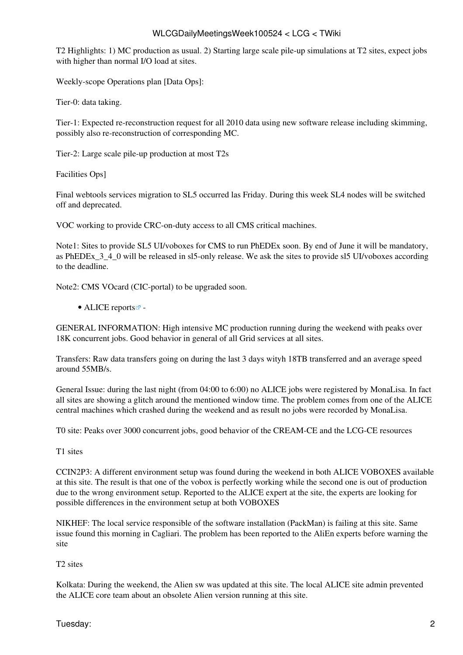T2 Highlights: 1) MC production as usual. 2) Starting large scale pile-up simulations at T2 sites, expect jobs with higher than normal I/O load at sites.

Weekly-scope Operations plan [Data Ops]:

Tier-0: data taking.

Tier-1: Expected re-reconstruction request for all 2010 data using new software release including skimming, possibly also re-reconstruction of corresponding MC.

Tier-2: Large scale pile-up production at most T2s

Facilities Ops]

Final webtools services migration to SL5 occurred las Friday. During this week SL4 nodes will be switched off and deprecated.

VOC working to provide CRC-on-duty access to all CMS critical machines.

Note1: Sites to provide SL5 UI/voboxes for CMS to run [PhEDEx](https://twiki.cern.ch/twiki/bin/view/LCG/PhEDEx) soon. By end of June it will be mandatory, as [PhEDEx](https://twiki.cern.ch/twiki/bin/view/LCG/PhEDEx)\_3\_4\_0 will be released in sl5-only release. We ask the sites to provide sl5 UI/voboxes according to the deadline.

Note2: CMS VOcard (CIC-portal) to be upgraded soon.

#### • ALICE [reports](http://alien2.cern.ch/index.php?option=com_content&view=article&id=75&Itemid=129) $\blacksquare$ -

GENERAL INFORMATION: High intensive MC production running during the weekend with peaks over 18K concurrent jobs. Good behavior in general of all Grid services at all sites.

Transfers: Raw data transfers going on during the last 3 days wityh 18TB transferred and an average speed around 55MB/s.

General Issue: during the last night (from 04:00 to 6:00) no ALICE jobs were registered by [MonaLisa](https://twiki.cern.ch/twiki/bin/edit/LCG/MonaLisa?topicparent=LCG.WLCGDailyMeetingsWeek100524;nowysiwyg=1). In fact all sites are showing a glitch around the mentioned window time. The problem comes from one of the ALICE central machines which crashed during the weekend and as result no jobs were recorded by [MonaLisa.](https://twiki.cern.ch/twiki/bin/edit/LCG/MonaLisa?topicparent=LCG.WLCGDailyMeetingsWeek100524;nowysiwyg=1)

T0 site: Peaks over 3000 concurrent jobs, good behavior of the [CREAM](https://twiki.cern.ch/twiki/bin/view/LCG/CREAM)-CE and the LCG-CE resources

T1 sites

[CCIN2P3](https://twiki.cern.ch/twiki/bin/edit/LCG/CCIN2P3?topicparent=LCG.WLCGDailyMeetingsWeek100524;nowysiwyg=1): A different environment setup was found during the weekend in both ALICE VOBOXES available at this site. The result is that one of the vobox is perfectly working while the second one is out of production due to the wrong environment setup. Reported to the ALICE expert at the site, the experts are looking for possible differences in the environment setup at both VOBOXES

NIKHEF: The local service responsible of the software installation ([PackMan](https://twiki.cern.ch/twiki/bin/edit/LCG/PackMan?topicparent=LCG.WLCGDailyMeetingsWeek100524;nowysiwyg=1)) is failing at this site. Same issue found this morning in Cagliari. The problem has been reported to the [AliEn](https://twiki.cern.ch/twiki/bin/edit/LCG/AliEn?topicparent=LCG.WLCGDailyMeetingsWeek100524;nowysiwyg=1) experts before warning the site

#### T2 sites

Kolkata: During the weekend, the Alien sw was updated at this site. The local ALICE site admin prevented the ALICE core team about an obsolete Alien version running at this site.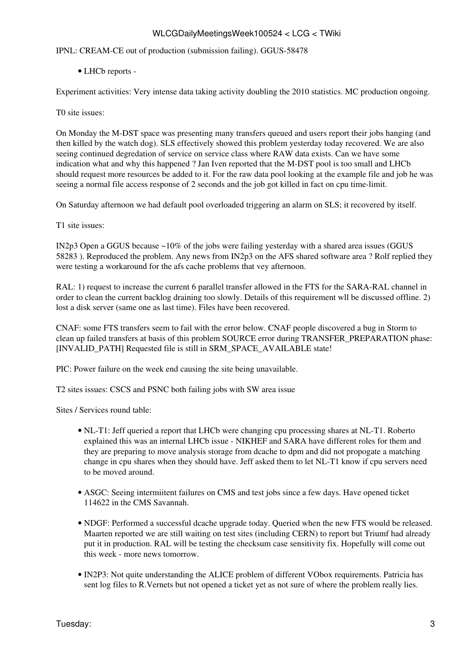IPNL: [CREAM](https://twiki.cern.ch/twiki/bin/view/LCG/CREAM)-CE out of production (submission failing). GGUS-58478

• LHCb [reports](https://twiki.cern.ch/twiki/bin/view/LHCb/ProductionOperationsWLCGdailyReports) -

Experiment activities: Very intense data taking activity doubling the 2010 statistics. MC production ongoing.

T0 site issues:

On Monday the M-DST space was presenting many transfers queued and users report their jobs hanging (and then killed by the watch dog). SLS effectively showed this problem yesterday today recovered. We are also seeing continued degredation of service on service class where RAW data exists. Can we have some indication what and why this happened ? Jan Iven reported that the M-DST pool is too small and LHCb should request more resources be added to it. For the raw data pool looking at the example file and job he was seeing a normal file access response of 2 seconds and the job got killed in fact on cpu time-limit.

On Saturday afternoon we had default pool overloaded triggering an alarm on SLS; it recovered by itself.

T1 site issues:

IN2p3 Open a GGUS because ~10% of the jobs were failing yesterday with a shared area issues (GGUS 58283 ). Reproduced the problem. Any news from IN2p3 on the AFS shared software area ? Rolf replied they were testing a workaround for the afs cache problems that vey afternoon.

[RAL](https://twiki.cern.ch/twiki/bin/view/LCG/RAL): 1) request to increase the current 6 parallel transfer allowed in the FTS for the SARA-RAL channel in order to clean the current backlog draining too slowly. Details of this requirement wll be discussed offline. 2) lost a disk server (same one as last time). Files have been recovered.

CNAF: some FTS transfers seem to fail with the error below. CNAF people discovered a bug in Storm to clean up failed transfers at basis of this problem SOURCE error during TRANSFER\_PREPARATION phase: [INVALID\_PATH] Requested file is still in SRM\_SPACE\_AVAILABLE state!

PIC: Power failure on the week end causing the site being unavailable.

T2 sites issues: CSCS and PSNC both failing jobs with SW area issue

Sites / Services round table:

- NL-T1: Jeff queried a report that LHCb were changing cpu processing shares at NL-T1. Roberto explained this was an internal LHCb issue - NIKHEF and SARA have different roles for them and they are preparing to move analysis storage from dcache to dpm and did not propogate a matching change in cpu shares when they should have. Jeff asked them to let NL-T1 know if cpu servers need to be moved around.
- ASGC: Seeing intermiitent failures on CMS and test jobs since a few days. Have opened ticket 114622 in the CMS Savannah.
- NDGF: Performed a successful dcache upgrade today. Queried when the new FTS would be released. Maarten reported we are still waiting on test sites (including CERN) to report but Triumf had already put it in production. [RAL](https://twiki.cern.ch/twiki/bin/view/LCG/RAL) will be testing the checksum case sensitivity fix. Hopefully will come out this week - more news tomorrow.
- [IN2P3:](https://twiki.cern.ch/twiki/bin/view/LCG/IN2P3) Not quite understanding the ALICE problem of different VObox requirements. Patricia has sent log files to R.Vernets but not opened a ticket yet as not sure of where the problem really lies.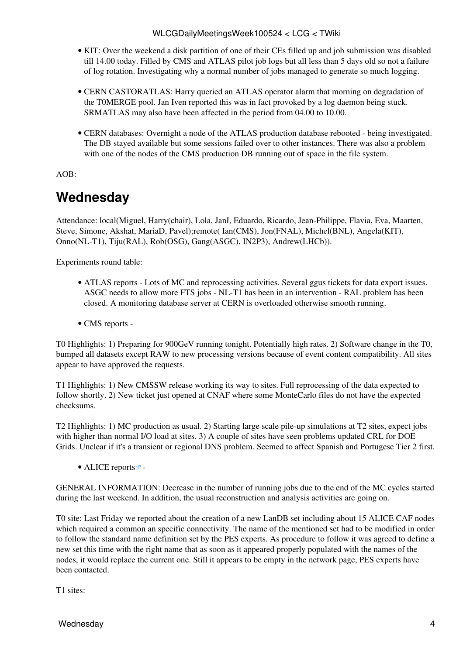- KIT: Over the weekend a disk partition of one of their CEs filled up and job submission was disabled till 14.00 today. Filled by CMS and ATLAS pilot job logs but all less than 5 days old so not a failure of log rotation. Investigating why a normal number of jobs managed to generate so much logging.
- CERN CASTORATLAS: Harry queried an ATLAS operator alarm that morning on degradation of the [T0MERGE](https://twiki.cern.ch/twiki/bin/edit/LCG/T0MERGE?topicparent=LCG.WLCGDailyMeetingsWeek100524;nowysiwyg=1) pool. Jan Iven reported this was in fact provoked by a log daemon being stuck. SRMATLAS may also have been affected in the period from 04.00 to 10.00.
- CERN databases: Overnight a node of the ATLAS production database rebooted being investigated. The DB stayed available but some sessions failed over to other instances. There was also a problem with one of the nodes of the CMS production DB running out of space in the file system.

#### AOB:

### <span id="page-4-0"></span>**Wednesday**

Attendance: local(Miguel, Harry(chair), Lola, [JanI,](https://twiki.cern.ch/twiki/bin/edit/LCG/JanI?topicparent=LCG.WLCGDailyMeetingsWeek100524;nowysiwyg=1) Eduardo, Ricardo, Jean-Philippe, Flavia, Eva, Maarten, Steve, Simone, Akshat, [MariaD,](https://twiki.cern.ch/twiki/bin/edit/LCG/MariaD?topicparent=LCG.WLCGDailyMeetingsWeek100524;nowysiwyg=1) Pavel);remote( Ian(CMS), Jon(FNAL), Michel(BNL), Angela(KIT), Onno(NL-T1), Tiju([RAL\)](https://twiki.cern.ch/twiki/bin/view/LCG/RAL), Rob(OSG), Gang(ASGC), [IN2P3\)](https://twiki.cern.ch/twiki/bin/view/LCG/IN2P3), Andrew(LHCb)).

Experiments round table:

- ATLAS [reports](https://twiki.cern.ch/twiki/bin/view/Atlas/ADCOperationsDailyReports)  Lots of MC and reprocessing activities. Several ggus tickets for data export issues. ASGC needs to allow more FTS jobs - NL-T1 has been in an intervention - [RAL](https://twiki.cern.ch/twiki/bin/view/LCG/RAL) problem has been closed. A monitoring database server at CERN is overloaded otherwise smooth running.
- CMS [reports](https://twiki.cern.ch/twiki/bin/view/CMS/FacOps_WLCGdailyreports) -

T0 Highlights: 1) Preparing for 900GeV running tonight. Potentially high rates. 2) Software change in the T0, bumped all datasets except RAW to new processing versions because of event content compatibility. All sites appear to have approved the requests.

T1 Highlights: 1) New CMSSW release working its way to sites. Full reprocessing of the data expected to follow shortly. 2) New ticket just opened at CNAF where some [MonteCarlo](https://twiki.cern.ch/twiki/bin/edit/LCG/MonteCarlo?topicparent=LCG.WLCGDailyMeetingsWeek100524;nowysiwyg=1) files do not have the expected checksums.

T2 Highlights: 1) MC production as usual. 2) Starting large scale pile-up simulations at T2 sites, expect jobs with higher than normal I/O load at sites. 3) A couple of sites have seen problems updated CRL for DOE Grids. Unclear if it's a transient or regional DNS problem. Seemed to affect Spanish and Portugese Tier 2 first.

• ALICE [reports](http://alien2.cern.ch/index.php?option=com_content&view=article&id=75&Itemid=129) $\blacksquare$ -

GENERAL INFORMATION: Decrease in the number of running jobs due to the end of the MC cycles started during the last weekend. In addition, the usual reconstruction and analysis activities are going on.

T0 site: Last Friday we reported about the creation of a new [LanDB](https://twiki.cern.ch/twiki/bin/edit/LCG/LanDB?topicparent=LCG.WLCGDailyMeetingsWeek100524;nowysiwyg=1) set including about 15 ALICE CAF nodes which required a common an specific connectivity. The name of the mentioned set had to be modified in order to follow the standard name definition set by the PES experts. As procedure to follow it was agreed to define a new set this time with the right name that as soon as it appeared properly populated with the names of the nodes, it would replace the current one. Still it appears to be empty in the network page, PES experts have been contacted.

T1 sites: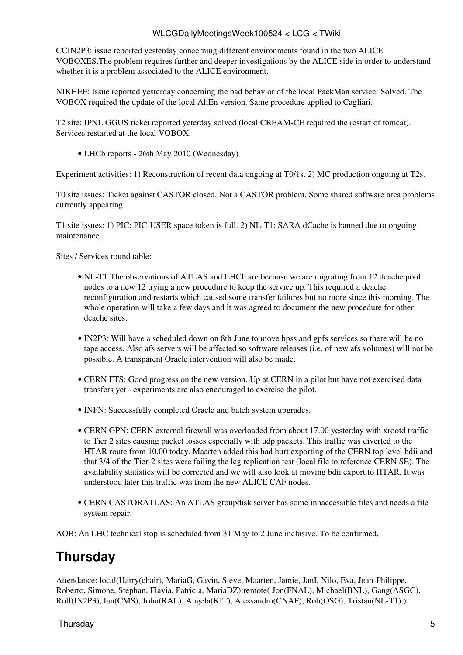[CCIN2P3](https://twiki.cern.ch/twiki/bin/edit/LCG/CCIN2P3?topicparent=LCG.WLCGDailyMeetingsWeek100524;nowysiwyg=1): issue reported yesterday concerning different environments found in the two ALICE VOBOXES.The problem requires further and deeper investigations by the ALICE side in order to understand whether it is a problem associated to the ALICE environment.

NIKHEF: Issue reported yesterday concerning the bad behavior of the local [PackMan](https://twiki.cern.ch/twiki/bin/edit/LCG/PackMan?topicparent=LCG.WLCGDailyMeetingsWeek100524;nowysiwyg=1) service: Solved. The VOBOX required the update of the local [AliEn](https://twiki.cern.ch/twiki/bin/edit/LCG/AliEn?topicparent=LCG.WLCGDailyMeetingsWeek100524;nowysiwyg=1) version. Same procedure applied to Cagliari.

T2 site: IPNL GGUS ticket reported yeterday solved (local [CREAM-](https://twiki.cern.ch/twiki/bin/view/LCG/CREAM)CE required the restart of tomcat). Services restarted at the local VOBOX.

• LHCb [reports](https://twiki.cern.ch/twiki/bin/view/LHCb/ProductionOperationsWLCGdailyReports) - 26th May 2010 (Wednesday)

Experiment activities: 1) Reconstruction of recent data ongoing at T0/1s. 2) MC production ongoing at T2s.

T0 site issues: Ticket against CASTOR closed. Not a CASTOR problem. Some shared software area problems currently appearing.

T1 site issues: 1) PIC: PIC-USER space token is full. 2) NL-T1: SARA dCache is banned due to ongoing maintenance.

Sites / Services round table:

- NL-T1: The observations of ATLAS and LHCb are because we are migrating from 12 dcache pool nodes to a new 12 trying a new procedure to keep the service up. This required a dcache reconfiguration and restarts which caused some transfer failures but no more since this morning. The whole operation will take a few days and it was agreed to document the new procedure for other dcache sites.
- [IN2P3:](https://twiki.cern.ch/twiki/bin/view/LCG/IN2P3) Will have a scheduled down on 8th June to move hpss and gpfs services so there will be no tape access. Also afs servers will be affected so software releases (i.e. of new afs volumes) will not be possible. A transparent Oracle intervention will also be made.
- CERN FTS: Good progress on the new version. Up at CERN in a pilot but have not exercised data transfers yet - experiments are also encouraged to exercise the pilot.
- INFN: Successfully completed Oracle and batch system upgrades.
- CERN GPN: CERN external firewall was overloaded from about 17.00 yesterday with xrootd traffic to Tier 2 sites causing packet losses especially with udp packets. This traffic was diverted to the HTAR route from 10.00 today. Maarten added this had hurt exporting of the CERN top level bdii and that 3/4 of the Tier-2 sites were failing the lcg replication test (local file to reference CERN SE). The availability statistics will be corrected and we will also look at moving bdii export to HTAR. It was understood later this traffic was from the new ALICE CAF nodes.
- CERN CASTORATLAS: An ATLAS groupdisk server has some innaccessible files and needs a file system repair.

AOB: An LHC technical stop is scheduled from 31 May to 2 June inclusive. To be confirmed.

# <span id="page-5-0"></span>**Thursday**

Attendance: local(Harry(chair), [MariaG,](https://twiki.cern.ch/twiki/bin/edit/LCG/MariaG?topicparent=LCG.WLCGDailyMeetingsWeek100524;nowysiwyg=1) Gavin, Steve, Maarten, Jamie, [JanI](https://twiki.cern.ch/twiki/bin/edit/LCG/JanI?topicparent=LCG.WLCGDailyMeetingsWeek100524;nowysiwyg=1), Nilo, Eva, Jean-Philippe, Roberto, Simone, Stephan, Flavia, Patricia, [MariaDZ](https://twiki.cern.ch/twiki/bin/edit/LCG/MariaDZ?topicparent=LCG.WLCGDailyMeetingsWeek100524;nowysiwyg=1));remote( Jon(FNAL), Michael(BNL), Gang(ASGC), Rolf[\(IN2P3\)](https://twiki.cern.ch/twiki/bin/view/LCG/IN2P3), Ian(CMS), John([RAL\)](https://twiki.cern.ch/twiki/bin/view/LCG/RAL), Angela(KIT), Alessandro(CNAF), Rob(OSG), Tristan(NL-T1) ).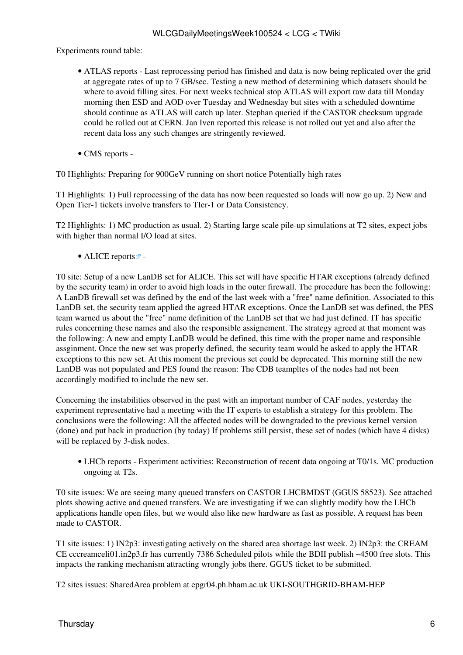Experiments round table:

- ATLAS [reports](https://twiki.cern.ch/twiki/bin/view/Atlas/ADCOperationsDailyReports)  Last reprocessing period has finished and data is now being replicated over the grid at aggregate rates of up to 7 GB/sec. Testing a new method of determining which datasets should be where to avoid filling sites. For next weeks technical stop ATLAS will export raw data till Monday morning then ESD and AOD over Tuesday and Wednesday but sites with a scheduled downtime should continue as ATLAS will catch up later. Stephan queried if the CASTOR checksum upgrade could be rolled out at CERN. Jan Iven reported this release is not rolled out yet and also after the recent data loss any such changes are stringently reviewed.
- CMS [reports](https://twiki.cern.ch/twiki/bin/view/CMS/FacOps_WLCGdailyreports) -

T0 Highlights: Preparing for 900GeV running on short notice Potentially high rates

T1 Highlights: 1) Full reprocessing of the data has now been requested so loads will now go up. 2) New and Open Tier-1 tickets involve transfers to TIer-1 or Data Consistency.

T2 Highlights: 1) MC production as usual. 2) Starting large scale pile-up simulations at T2 sites, expect jobs with higher than normal I/O load at sites.

• ALICE [reports](http://alien2.cern.ch/index.php?option=com_content&view=article&id=75&Itemid=129) $\blacksquare$ -

T0 site: Setup of a new [LanDB](https://twiki.cern.ch/twiki/bin/edit/LCG/LanDB?topicparent=LCG.WLCGDailyMeetingsWeek100524;nowysiwyg=1) set for ALICE. This set will have specific HTAR exceptions (already defined by the security team) in order to avoid high loads in the outer firewall. The procedure has been the following: A [LanDB](https://twiki.cern.ch/twiki/bin/edit/LCG/LanDB?topicparent=LCG.WLCGDailyMeetingsWeek100524;nowysiwyg=1) firewall set was defined by the end of the last week with a "free" name definition. Associated to this [LanDB](https://twiki.cern.ch/twiki/bin/edit/LCG/LanDB?topicparent=LCG.WLCGDailyMeetingsWeek100524;nowysiwyg=1) set, the security team applied the agreed HTAR exceptions. Once the [LanDB](https://twiki.cern.ch/twiki/bin/edit/LCG/LanDB?topicparent=LCG.WLCGDailyMeetingsWeek100524;nowysiwyg=1) set was defined, the PES team warned us about the "free" name definition of the [LanDB](https://twiki.cern.ch/twiki/bin/edit/LCG/LanDB?topicparent=LCG.WLCGDailyMeetingsWeek100524;nowysiwyg=1) set that we had just defined. IT has specific rules concerning these names and also the responsible assignement. The strategy agreed at that moment was the following: A new and empty [LanDB](https://twiki.cern.ch/twiki/bin/edit/LCG/LanDB?topicparent=LCG.WLCGDailyMeetingsWeek100524;nowysiwyg=1) would be defined, this time with the proper name and responsible assginment. Once the new set was properly defined, the security team would be asked to apply the HTAR exceptions to this new set. At this moment the previous set could be deprecated. This morning still the new [LanDB](https://twiki.cern.ch/twiki/bin/edit/LCG/LanDB?topicparent=LCG.WLCGDailyMeetingsWeek100524;nowysiwyg=1) was not populated and PES found the reason: The CDB teampltes of the nodes had not been accordingly modified to include the new set.

Concerning the instabilities observed in the past with an important number of CAF nodes, yesterday the experiment representative had a meeting with the IT experts to establish a strategy for this problem. The conclusions were the following: All the affected nodes will be downgraded to the previous kernel version (done) and put back in production (by today) If problems still persist, these set of nodes (which have 4 disks) will be replaced by 3-disk nodes.

LHCb [reports](https://twiki.cern.ch/twiki/bin/view/LHCb/ProductionOperationsWLCGdailyReports) - Experiment activities: Reconstruction of recent data ongoing at T0/1s. MC production • ongoing at T2s.

T0 site issues: We are seeing many queued transfers on CASTOR LHCBMDST (GGUS 58523). See attached plots showing active and queued transfers. We are investigating if we can slightly modify how the LHCb applications handle open files, but we would also like new hardware as fast as possible. A request has been made to CASTOR.

T1 site issues: 1) IN2p3: investigating actively on the shared area shortage last week. 2) IN2p3: the [CREAM](https://twiki.cern.ch/twiki/bin/view/LCG/CREAM) CE cccreamceli01.in2p3.fr has currently 7386 Scheduled pilots while the BDII publish ~4500 free slots. This impacts the ranking mechanism attracting wrongly jobs there. GGUS ticket to be submitted.

T2 sites issues: [SharedArea](https://twiki.cern.ch/twiki/bin/edit/LCG/SharedArea?topicparent=LCG.WLCGDailyMeetingsWeek100524;nowysiwyg=1) problem at epgr04.ph.bham.ac.uk UKI-SOUTHGRID-BHAM-HEP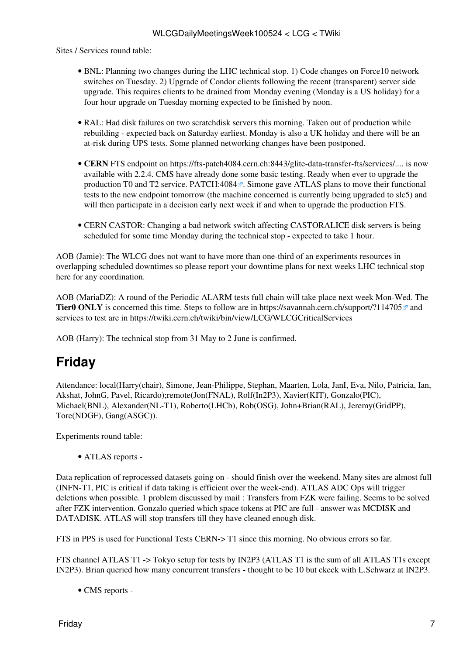Sites / Services round table:

- BNL: Planning two changes during the LHC technical stop. 1) Code changes on Force10 network switches on Tuesday. 2) Upgrade of Condor clients following the recent (transparent) server side upgrade. This requires clients to be drained from Monday evening (Monday is a US holiday) for a four hour upgrade on Tuesday morning expected to be finished by noon.
- [RAL](https://twiki.cern.ch/twiki/bin/view/LCG/RAL): Had disk failures on two scratchdisk servers this morning. Taken out of production while rebuilding - expected back on Saturday earliest. Monday is also a UK holiday and there will be an at-risk during UPS tests. Some planned networking changes have been postponed.
- CERN FTS endpoint on https://fts-patch4084.cern.ch:8443/glite-data-transfer-fts/services/.... is now available with 2.2.4. CMS have already done some basic testing. Ready when ever to upgrade the production T0 and T2 service. [PATCH:4084](https://savannah.cern.ch/patch/?4084) $\mathbb{F}$ . Simone gave ATLAS plans to move their functional tests to the new endpoint tomorrow (the machine concerned is currently being upgraded to slc5) and will then participate in a decision early next week if and when to upgrade the production FTS.
- CERN CASTOR: Changing a bad network switch affecting CASTORALICE disk servers is being scheduled for some time Monday during the technical stop - expected to take 1 hour.

AOB (Jamie): The WLCG does not want to have more than one-third of an experiments resources in overlapping scheduled downtimes so please report your downtime plans for next weeks LHC technical stop here for any coordination.

AOB ([MariaDZ\)](https://twiki.cern.ch/twiki/bin/edit/LCG/MariaDZ?topicparent=LCG.WLCGDailyMeetingsWeek100524;nowysiwyg=1): A round of the [Periodic ALARM tests full chain](https://twiki.cern.ch/twiki/bin/view/EGEE/SA1_USAG#Periodic_GGUS_ALARM_ticket_test) will take place next week Mon-Wed. The **Tier0 ONLY** is concerned this time. Steps to follow are in <https://savannah.cern.ch/support/?114705> $\sigma$  and services to test are in<https://twiki.cern.ch/twiki/bin/view/LCG/WLCGCriticalServices>

AOB (Harry): The technical stop from 31 May to 2 June is confirmed.

# <span id="page-7-0"></span>**Friday**

Attendance: local(Harry(chair), Simone, Jean-Philippe, Stephan, Maarten, Lola, [JanI,](https://twiki.cern.ch/twiki/bin/edit/LCG/JanI?topicparent=LCG.WLCGDailyMeetingsWeek100524;nowysiwyg=1) Eva, Nilo, Patricia, Ian, Akshat, [JohnG](https://twiki.cern.ch/twiki/bin/edit/LCG/JohnG?topicparent=LCG.WLCGDailyMeetingsWeek100524;nowysiwyg=1), Pavel, Ricardo);remote(Jon(FNAL), Rolf([In2P3\)](https://twiki.cern.ch/twiki/bin/edit/LCG/In2P3?topicparent=LCG.WLCGDailyMeetingsWeek100524;nowysiwyg=1), Xavier(KIT), Gonzalo(PIC), Michael(BNL), Alexander(NL-T1), Roberto(LHCb), Rob(OSG), John+Brian[\(RAL](https://twiki.cern.ch/twiki/bin/view/LCG/RAL)), Jeremy([GridPP](https://twiki.cern.ch/twiki/bin/view/LCG/GridPP)), Tore(NDGF), Gang(ASGC)).

Experiments round table:

• ATLAS [reports](https://twiki.cern.ch/twiki/bin/view/Atlas/ADCOperationsDailyReports) -

Data replication of reprocessed datasets going on - should finish over the weekend. Many sites are almost full (INFN-T1, PIC is critical if data taking is efficient over the week-end). ATLAS ADC Ops will trigger deletions when possible. 1 problem discussed by mail : Transfers from FZK were failing. Seems to be solved after FZK intervention. Gonzalo queried which space tokens at PIC are full - answer was MCDISK and DATADISK. ATLAS will stop transfers till they have cleaned enough disk.

FTS in PPS is used for Functional Tests CERN-> T1 since this morning. No obvious errors so far.

FTS channel ATLAS T1 -> Tokyo setup for tests by [IN2P3](https://twiki.cern.ch/twiki/bin/view/LCG/IN2P3) (ATLAS T1 is the sum of all ATLAS T1s except [IN2P3\)](https://twiki.cern.ch/twiki/bin/view/LCG/IN2P3). Brian queried how many concurrent transfers - thought to be 10 but ckeck with L.Schwarz at [IN2P3](https://twiki.cern.ch/twiki/bin/view/LCG/IN2P3).

• CMS [reports](https://twiki.cern.ch/twiki/bin/view/CMS/FacOps_WLCGdailyreports) -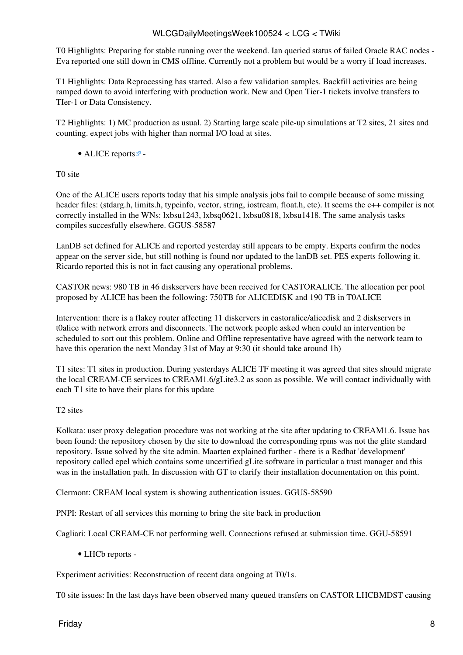T0 Highlights: Preparing for stable running over the weekend. Ian queried status of failed Oracle RAC nodes - Eva reported one still down in CMS offline. Currently not a problem but would be a worry if load increases.

T1 Highlights: Data Reprocessing has started. Also a few validation samples. Backfill activities are being ramped down to avoid interfering with production work. New and Open Tier-1 tickets involve transfers to TIer-1 or Data Consistency.

T2 Highlights: 1) MC production as usual. 2) Starting large scale pile-up simulations at T2 sites, 21 sites and counting. expect jobs with higher than normal I/O load at sites.

• ALICE [reports](http://alien2.cern.ch/index.php?option=com_content&view=article&id=75&Itemid=129) $\blacksquare$ -

T0 site

One of the ALICE users reports today that his simple analysis jobs fail to compile because of some missing header files: (stdarg.h, limits.h, typeinfo, vector, string, iostream, float.h, etc). It seems the c++ compiler is not correctly installed in the WNs: lxbsu1243, lxbsq0621, lxbsu0818, lxbsu1418. The same analysis tasks compiles succesfully elsewhere. GGUS-58587

[LanDB](https://twiki.cern.ch/twiki/bin/edit/LCG/LanDB?topicparent=LCG.WLCGDailyMeetingsWeek100524;nowysiwyg=1) set defined for ALICE and reported yesterday still appears to be empty. Experts confirm the nodes appear on the server side, but still nothing is found nor updated to the lanDB set. PES experts following it. Ricardo reported this is not in fact causing any operational problems.

CASTOR news: 980 TB in 46 diskservers have been received for CASTORALICE. The allocation per pool proposed by ALICE has been the following: 750TB for ALICEDISK and 190 TB in [T0ALICE](https://twiki.cern.ch/twiki/bin/edit/LCG/T0ALICE?topicparent=LCG.WLCGDailyMeetingsWeek100524;nowysiwyg=1)

Intervention: there is a flakey router affecting 11 diskervers in castoralice/alicedisk and 2 diskservers in t0alice with network errors and disconnects. The network people asked when could an intervention be scheduled to sort out this problem. Online and Offline representative have agreed with the network team to have this operation the next Monday 31st of May at 9:30 (it should take around 1h)

T1 sites: T1 sites in production. During yesterdays ALICE TF meeting it was agreed that sites should migrate the local [CREAM](https://twiki.cern.ch/twiki/bin/view/LCG/CREAM)-CE services to CREAM1.6/gLite3.2 as soon as possible. We will contact individually with each T1 site to have their plans for this update

#### T2 sites

Kolkata: user proxy delegation procedure was not working at the site after updating to CREAM1.6. Issue has been found: the repository chosen by the site to download the corresponding rpms was not the glite standard repository. Issue solved by the site admin. Maarten explained further - there is a Redhat 'development' repository called epel which contains some uncertified gLite software in particular a trust manager and this was in the installation path. In discussion with GT to clarify their installation documentation on this point.

Clermont: [CREAM](https://twiki.cern.ch/twiki/bin/view/LCG/CREAM) local system is showing authentication issues. GGUS-58590

PNPI: Restart of all services this morning to bring the site back in production

Cagliari: Local [CREAM](https://twiki.cern.ch/twiki/bin/view/LCG/CREAM)-CE not performing well. Connections refused at submission time. GGU-58591

• LHCb [reports](https://twiki.cern.ch/twiki/bin/view/LHCb/ProductionOperationsWLCGdailyReports) -

Experiment activities: Reconstruction of recent data ongoing at T0/1s.

T0 site issues: In the last days have been observed many queued transfers on CASTOR LHCBMDST causing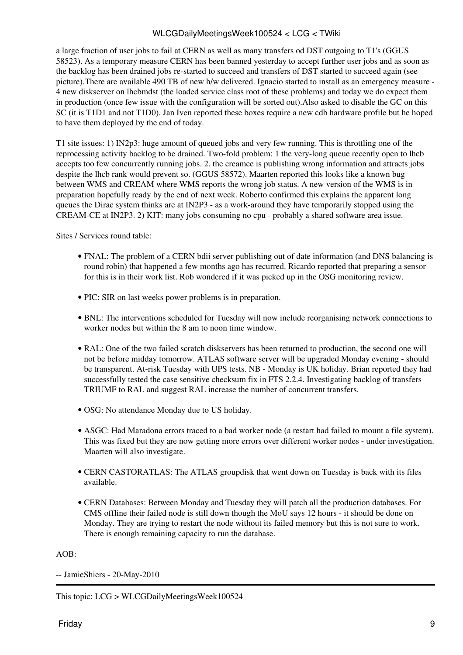a large fraction of user jobs to fail at CERN as well as many transfers od DST outgoing to T1's (GGUS 58523). As a temporary measure CERN has been banned yesterday to accept further user jobs and as soon as the backlog has been drained jobs re-started to succeed and transfers of DST started to succeed again (see picture).There are available 490 TB of new h/w delivered. Ignacio started to install as an emergency measure - 4 new diskserver on lhcbmdst (the loaded service class root of these problems) and today we do expect them in production (once few issue with the configuration will be sorted out).Also asked to disable the GC on this SC (it is [T1D1](https://twiki.cern.ch/twiki/bin/edit/LCG/T1D1?topicparent=LCG.WLCGDailyMeetingsWeek100524;nowysiwyg=1) and not [T1D0](https://twiki.cern.ch/twiki/bin/edit/LCG/T1D0?topicparent=LCG.WLCGDailyMeetingsWeek100524;nowysiwyg=1)). Jan Iven reported these boxes require a new cdb hardware profile but he hoped to have them deployed by the end of today.

T1 site issues: 1) IN2p3: huge amount of queued jobs and very few running. This is throttling one of the reprocessing activity backlog to be drained. Two-fold problem: 1 the very-long queue recently open to lhcb accepts too few concurrently running jobs. 2. the creamce is publishing wrong information and attracts jobs despite the lhcb rank would prevent so. (GGUS 58572). Maarten reported this looks like a known bug between WMS and [CREAM](https://twiki.cern.ch/twiki/bin/view/LCG/CREAM) where WMS reports the wrong job status. A new version of the WMS is in preparation hopefully ready by the end of next week. Roberto confirmed this explains the apparent long queues the Dirac system thinks are at [IN2P3](https://twiki.cern.ch/twiki/bin/view/LCG/IN2P3) - as a work-around they have temporarily stopped using the [CREAM](https://twiki.cern.ch/twiki/bin/view/LCG/CREAM)-CE at [IN2P3](https://twiki.cern.ch/twiki/bin/view/LCG/IN2P3). 2) KIT: many jobs consuming no cpu - probably a shared software area issue.

Sites / Services round table:

- FNAL: The problem of a CERN bdii server publishing out of date information (and DNS balancing is round robin) that happened a few months ago has recurred. Ricardo reported that preparing a sensor for this is in their work list. Rob wondered if it was picked up in the OSG monitoring review.
- PIC: SIR on last weeks power problems is in preparation.
- BNL: The interventions scheduled for Tuesday will now include reorganising network connections to worker nodes but within the 8 am to noon time window.
- [RAL](https://twiki.cern.ch/twiki/bin/view/LCG/RAL): One of the two failed scratch diskservers has been returned to production, the second one will not be before midday tomorrow. ATLAS software server will be upgraded Monday evening - should be transparent. At-risk Tuesday with UPS tests. NB - Monday is UK holiday. Brian reported they had successfully tested the case sensitive checksum fix in FTS 2.2.4. Investigating backlog of transfers TRIUMF to [RAL](https://twiki.cern.ch/twiki/bin/view/LCG/RAL) and suggest [RAL](https://twiki.cern.ch/twiki/bin/view/LCG/RAL) increase the number of concurrent transfers.
- OSG: No attendance Monday due to US holiday.
- ASGC: Had Maradona errors traced to a bad worker node (a restart had failed to mount a file system). This was fixed but they are now getting more errors over different worker nodes - under investigation. Maarten will also investigate.
- CERN CASTORATLAS: The ATLAS groupdisk that went down on Tuesday is back with its files available.
- CERN Databases: Between Monday and Tuesday they will patch all the production databases. For CMS offline their failed node is still down though the [MoU](https://twiki.cern.ch/twiki/bin/view/LCG/MoU) says 12 hours - it should be done on Monday. They are trying to restart the node without its failed memory but this is not sure to work. There is enough remaining capacity to run the database.

AOB:

-- [JamieShiers](https://twiki.cern.ch/twiki/bin/view/Main/JamieShiers) - 20-May-2010

This topic: LCG > WLCGDailyMeetingsWeek100524